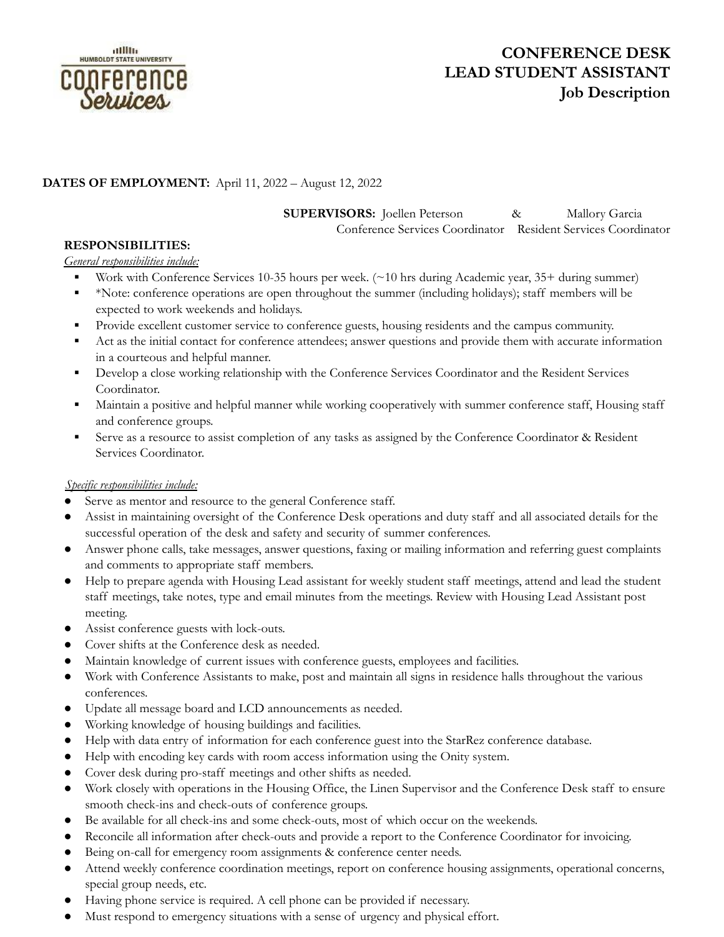

# **CONFERENCE DESK LEAD STUDENT ASSISTANT Job Description**

## **DATES OF EMPLOYMENT:** April 11, 2022 – August 12, 2022

**SUPERVISORS:** Joellen Peterson & Mallory Garcia

Conference Services Coordinator Resident Services Coordinator

### **RESPONSIBILITIES:**

#### *General responsibilities include:*

- Work with Conference Services 10-35 hours per week. (~10 hrs during Academic year, 35+ during summer)
- \*Note: conference operations are open throughout the summer (including holidays); staff members will be expected to work weekends and holidays.
- Provide excellent customer service to conference guests, housing residents and the campus community.
- Act as the initial contact for conference attendees; answer questions and provide them with accurate information in a courteous and helpful manner.
- **•** Develop a close working relationship with the Conference Services Coordinator and the Resident Services Coordinator.
- Maintain a positive and helpful manner while working cooperatively with summer conference staff, Housing staff and conference groups.
- **Exercise** Serve as a resource to assist completion of any tasks as assigned by the Conference Coordinator & Resident Services Coordinator.

#### *Specific responsibilities include:*

- Serve as mentor and resource to the general Conference staff.
- Assist in maintaining oversight of the Conference Desk operations and duty staff and all associated details for the successful operation of the desk and safety and security of summer conferences.
- Answer phone calls, take messages, answer questions, faxing or mailing information and referring guest complaints and comments to appropriate staff members.
- Help to prepare agenda with Housing Lead assistant for weekly student staff meetings, attend and lead the student staff meetings, take notes, type and email minutes from the meetings. Review with Housing Lead Assistant post meeting.
- Assist conference guests with lock-outs.
- Cover shifts at the Conference desk as needed.
- Maintain knowledge of current issues with conference guests, employees and facilities.
- Work with Conference Assistants to make, post and maintain all signs in residence halls throughout the various conferences.
- Update all message board and LCD announcements as needed.
- Working knowledge of housing buildings and facilities.
- Help with data entry of information for each conference guest into the StarRez conference database.
- Help with encoding key cards with room access information using the Onity system.
- Cover desk during pro-staff meetings and other shifts as needed.
- Work closely with operations in the Housing Office, the Linen Supervisor and the Conference Desk staff to ensure smooth check-ins and check-outs of conference groups.
- Be available for all check-ins and some check-outs, most of which occur on the weekends.
- Reconcile all information after check-outs and provide a report to the Conference Coordinator for invoicing.
- Being on-call for emergency room assignments & conference center needs.
- Attend weekly conference coordination meetings, report on conference housing assignments, operational concerns, special group needs, etc.
- Having phone service is required. A cell phone can be provided if necessary.
- Must respond to emergency situations with a sense of urgency and physical effort.